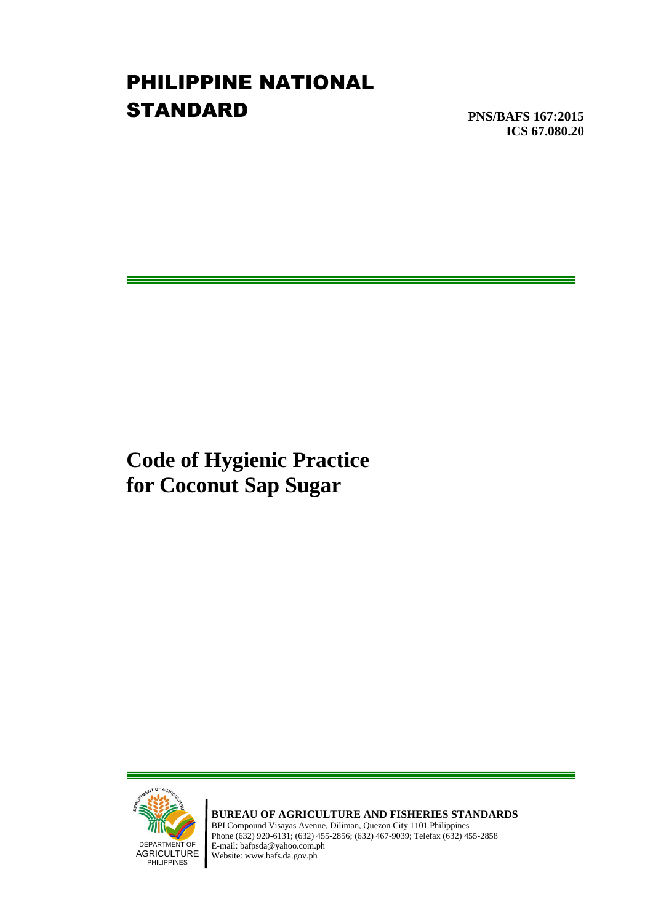# PHILIPPINE NATIONAL **STANDARD**

**PNS/BAFS 167:2015 ICS 67.080.20**

**Code of Hygienic Practice for Coconut Sap Sugar**



**BUREAU OF AGRICULTURE AND FISHERIES STANDARDS** BPI Compound Visayas Avenue, Diliman, Quezon City 1101 Philippines Phone (632) 920-6131; (632) 455-2856; (632) 467-9039; Telefax (632) 455-2858 E-mail: bafpsda@yahoo.com.ph Website: www.bafs.da.gov.ph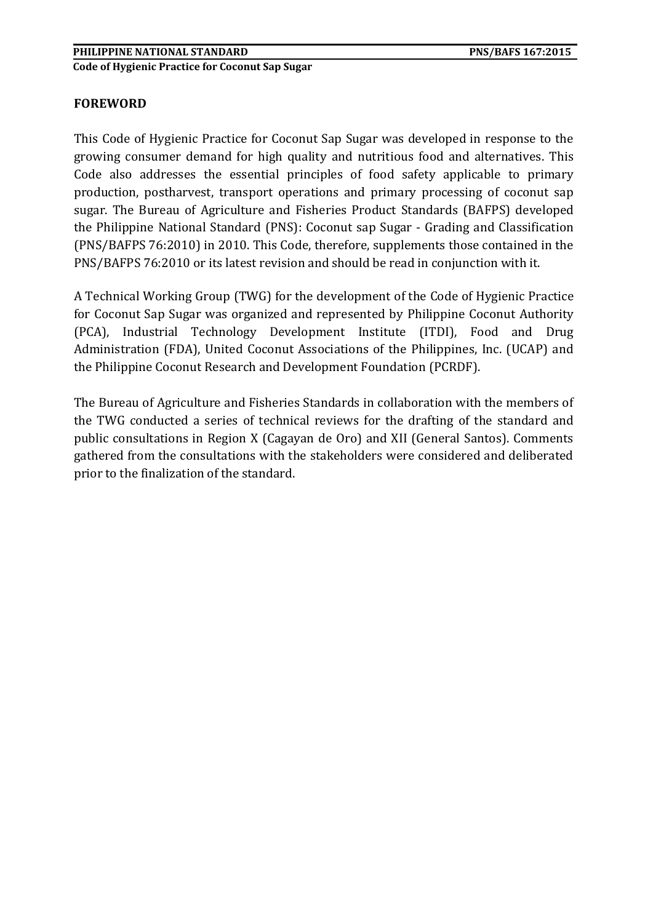#### **FOREWORD**

This Code of Hygienic Practice for Coconut Sap Sugar was developed in response to the growing consumer demand for high quality and nutritious food and alternatives. This Code also addresses the essential principles of food safety applicable to primary production, postharvest, transport operations and primary processing of coconut sap sugar. The Bureau of Agriculture and Fisheries Product Standards (BAFPS) developed the Philippine National Standard (PNS): Coconut sap Sugar - Grading and Classification (PNS/BAFPS 76:2010) in 2010. This Code, therefore, supplements those contained in the PNS/BAFPS 76:2010 or its latest revision and should be read in conjunction with it.

A Technical Working Group (TWG) for the development of the Code of Hygienic Practice for Coconut Sap Sugar was organized and represented by Philippine Coconut Authority (PCA), Industrial Technology Development Institute (ITDI), Food and Drug Administration (FDA), United Coconut Associations of the Philippines, Inc. (UCAP) and the Philippine Coconut Research and Development Foundation (PCRDF).

The Bureau of Agriculture and Fisheries Standards in collaboration with the members of the TWG conducted a series of technical reviews for the drafting of the standard and public consultations in Region X (Cagayan de Oro) and XII (General Santos). Comments gathered from the consultations with the stakeholders were considered and deliberated prior to the finalization of the standard.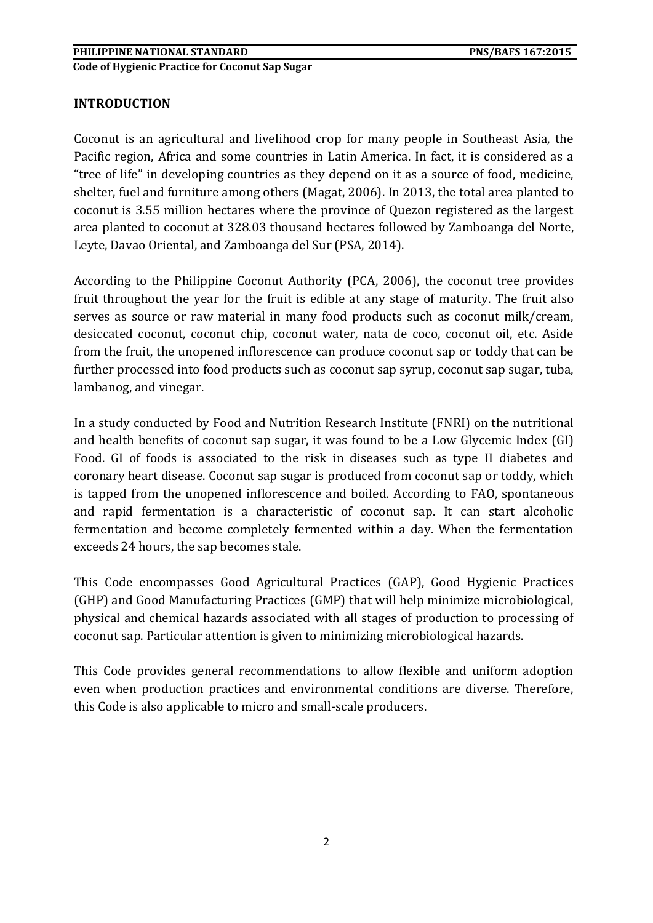#### **INTRODUCTION**

Coconut is an agricultural and livelihood crop for many people in Southeast Asia, the Pacific region, Africa and some countries in Latin America. In fact, it is considered as a "tree of life" in developing countries as they depend on it as a source of food, medicine, shelter, fuel and furniture among others (Magat, 2006). In 2013, the total area planted to coconut is 3.55 million hectares where the province of Quezon registered as the largest area planted to coconut at 328.03 thousand hectares followed by Zamboanga del Norte, Leyte, Davao Oriental, and Zamboanga del Sur (PSA, 2014).

According to the Philippine Coconut Authority (PCA, 2006), the coconut tree provides fruit throughout the year for the fruit is edible at any stage of maturity. The fruit also serves as source or raw material in many food products such as coconut milk/cream, desiccated coconut, coconut chip, coconut water, nata de coco, coconut oil, etc. Aside from the fruit, the unopened inflorescence can produce coconut sap or toddy that can be further processed into food products such as coconut sap syrup, coconut sap sugar, tuba, lambanog, and vinegar.

In a study conducted by Food and Nutrition Research Institute (FNRI) on the nutritional and health benefits of coconut sap sugar, it was found to be a Low Glycemic Index (GI) Food. GI of foods is associated to the risk in diseases such as type II diabetes and coronary heart disease. Coconut sap sugar is produced from coconut sap or toddy, which is tapped from the unopened inflorescence and boiled. According to FAO, spontaneous and rapid fermentation is a characteristic of coconut sap. It can start alcoholic fermentation and become completely fermented within a day. When the fermentation exceeds 24 hours, the sap becomes stale.

This Code encompasses Good Agricultural Practices (GAP), Good Hygienic Practices (GHP) and Good Manufacturing Practices (GMP) that will help minimize microbiological, physical and chemical hazards associated with all stages of production to processing of coconut sap. Particular attention is given to minimizing microbiological hazards.

This Code provides general recommendations to allow flexible and uniform adoption even when production practices and environmental conditions are diverse. Therefore, this Code is also applicable to micro and small-scale producers.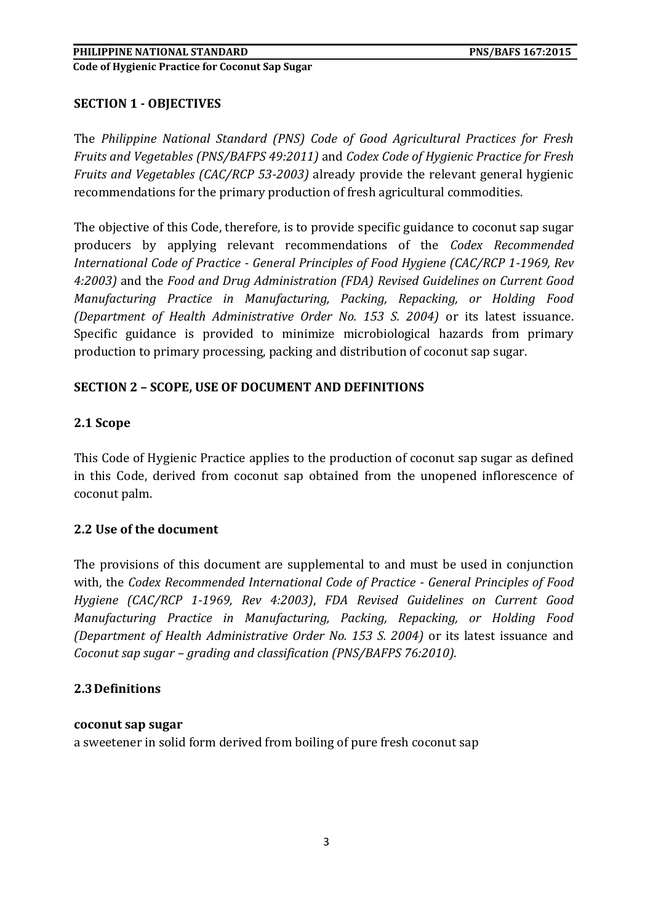## **SECTION 1 - OBJECTIVES**

The *Philippine National Standard (PNS) Code of Good Agricultural Practices for Fresh Fruits and Vegetables (PNS/BAFPS 49:2011)* and *Codex Code of Hygienic Practice for Fresh Fruits and Vegetables (CAC/RCP 53-2003)* already provide the relevant general hygienic recommendations for the primary production of fresh agricultural commodities.

The objective of this Code, therefore, is to provide specific guidance to coconut sap sugar producers by applying relevant recommendations of the *Codex Recommended International Code of Practice - General Principles of Food Hygiene (CAC/RCP 1-1969, Rev 4:2003)* and the *Food and Drug Administration (FDA) Revised Guidelines on Current Good Manufacturing Practice in Manufacturing, Packing, Repacking, or Holding Food (Department of Health Administrative Order No. 153 S. 2004)* or its latest issuance. Specific guidance is provided to minimize microbiological hazards from primary production to primary processing, packing and distribution of coconut sap sugar.

## **SECTION 2 – SCOPE, USE OF DOCUMENT AND DEFINITIONS**

## **2.1 Scope**

This Code of Hygienic Practice applies to the production of coconut sap sugar as defined in this Code, derived from coconut sap obtained from the unopened inflorescence of coconut palm.

#### **2.2 Use of the document**

The provisions of this document are supplemental to and must be used in conjunction with, the *Codex Recommended International Code of Practice - General Principles of Food Hygiene (CAC/RCP 1-1969, Rev 4:2003)*, *FDA Revised Guidelines on Current Good Manufacturing Practice in Manufacturing, Packing, Repacking, or Holding Food (Department of Health Administrative Order No. 153 S. 2004)* or its latest issuance and *Coconut sap sugar – grading and classification (PNS/BAFPS 76:2010).*

#### **2.3Definitions**

#### **coconut sap sugar**

a sweetener in solid form derived from boiling of pure fresh coconut sap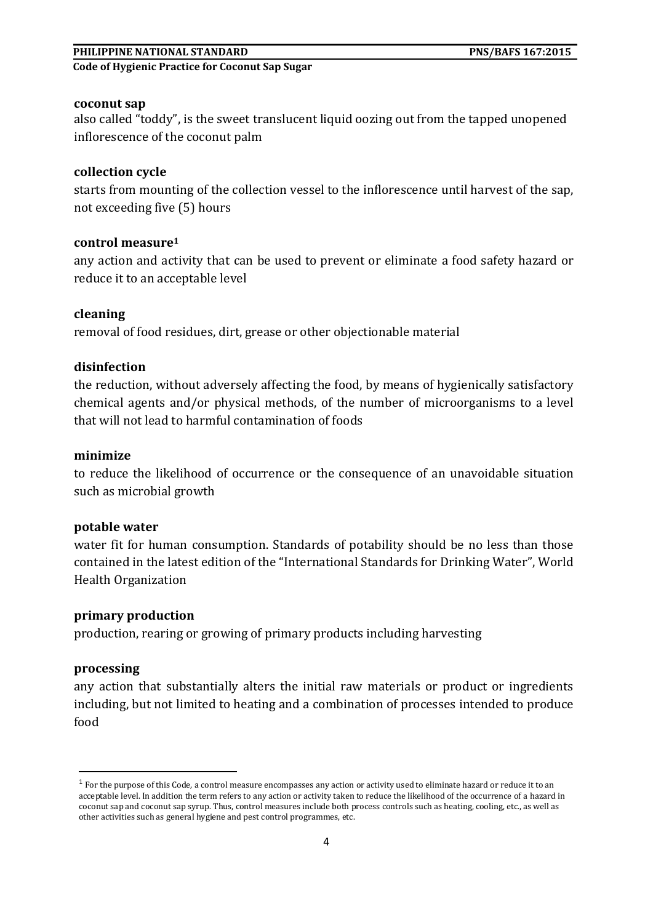#### **PHILIPPINE NATIONAL STANDARD PNS/BAFS 167:2015**

**Code of Hygienic Practice for Coconut Sap Sugar** 

#### **coconut sap**

also called "toddy", is the sweet translucent liquid oozing out from the tapped unopened inflorescence of the coconut palm

#### **collection cycle**

starts from mounting of the collection vessel to the inflorescence until harvest of the sap, not exceeding five (5) hours

#### **control measure<sup>1</sup>**

any action and activity that can be used to prevent or eliminate a food safety hazard or reduce it to an acceptable level

#### **cleaning**

removal of food residues, dirt, grease or other objectionable material

#### **disinfection**

the reduction, without adversely affecting the food, by means of hygienically satisfactory chemical agents and/or physical methods, of the number of microorganisms to a level that will not lead to harmful contamination of foods

#### **minimize**

to reduce the likelihood of occurrence or the consequence of an unavoidable situation such as microbial growth

#### **potable water**

water fit for human consumption. Standards of potability should be no less than those contained in the latest edition of the "International Standards for Drinking Water", World Health Organization

#### **primary production**

production, rearing or growing of primary products including harvesting

#### **processing**

**.** 

any action that substantially alters the initial raw materials or product or ingredients including, but not limited to heating and a combination of processes intended to produce food

 $1$  For the purpose of this Code, a control measure encompasses any action or activity used to eliminate hazard or reduce it to an acceptable level. In addition the term refers to any action or activity taken to reduce the likelihood of the occurrence of a hazard in coconut sap and coconut sap syrup. Thus, control measures include both process controls such as heating, cooling, etc., as well as other activities such as general hygiene and pest control programmes, etc.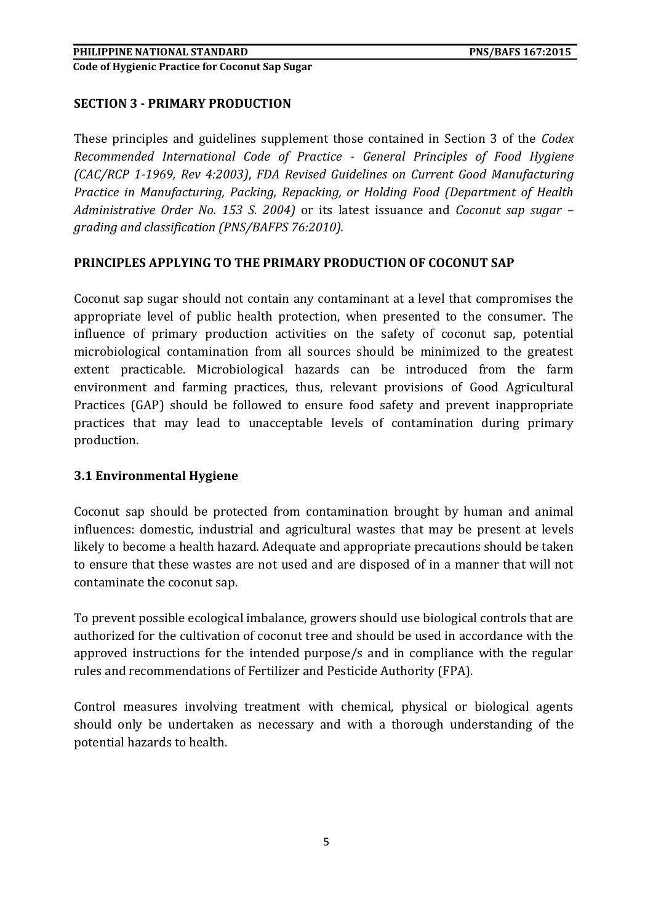## **SECTION 3 - PRIMARY PRODUCTION**

These principles and guidelines supplement those contained in Section 3 of the *Codex Recommended International Code of Practice - General Principles of Food Hygiene (CAC/RCP 1-1969, Rev 4:2003)*, *FDA Revised Guidelines on Current Good Manufacturing Practice in Manufacturing, Packing, Repacking, or Holding Food (Department of Health Administrative Order No. 153 S. 2004)* or its latest issuance and *Coconut sap sugar – grading and classification (PNS/BAFPS 76:2010).*

#### **PRINCIPLES APPLYING TO THE PRIMARY PRODUCTION OF COCONUT SAP**

Coconut sap sugar should not contain any contaminant at a level that compromises the appropriate level of public health protection, when presented to the consumer. The influence of primary production activities on the safety of coconut sap, potential microbiological contamination from all sources should be minimized to the greatest extent practicable. Microbiological hazards can be introduced from the farm environment and farming practices, thus, relevant provisions of Good Agricultural Practices (GAP) should be followed to ensure food safety and prevent inappropriate practices that may lead to unacceptable levels of contamination during primary production.

#### **3.1 Environmental Hygiene**

Coconut sap should be protected from contamination brought by human and animal influences: domestic, industrial and agricultural wastes that may be present at levels likely to become a health hazard. Adequate and appropriate precautions should be taken to ensure that these wastes are not used and are disposed of in a manner that will not contaminate the coconut sap.

To prevent possible ecological imbalance, growers should use biological controls that are authorized for the cultivation of coconut tree and should be used in accordance with the approved instructions for the intended purpose/s and in compliance with the regular rules and recommendations of Fertilizer and Pesticide Authority (FPA).

Control measures involving treatment with chemical, physical or biological agents should only be undertaken as necessary and with a thorough understanding of the potential hazards to health.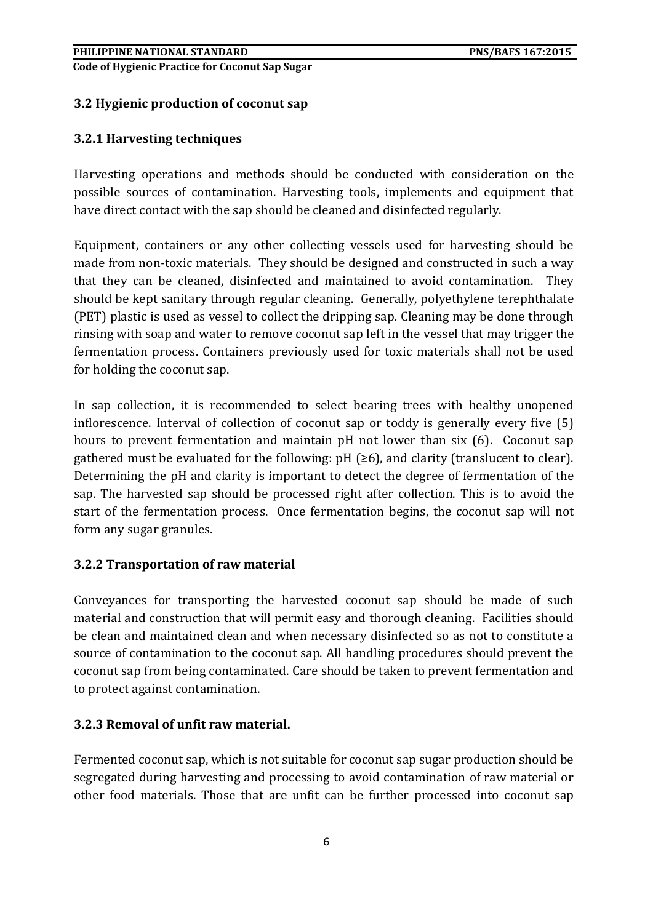# **3.2 Hygienic production of coconut sap**

## **3.2.1 Harvesting techniques**

Harvesting operations and methods should be conducted with consideration on the possible sources of contamination. Harvesting tools, implements and equipment that have direct contact with the sap should be cleaned and disinfected regularly.

Equipment, containers or any other collecting vessels used for harvesting should be made from non-toxic materials. They should be designed and constructed in such a way that they can be cleaned, disinfected and maintained to avoid contamination. They should be kept sanitary through regular cleaning. Generally, polyethylene terephthalate (PET) plastic is used as vessel to collect the dripping sap. Cleaning may be done through rinsing with soap and water to remove coconut sap left in the vessel that may trigger the fermentation process. Containers previously used for toxic materials shall not be used for holding the coconut sap.

In sap collection, it is recommended to select bearing trees with healthy unopened inflorescence. Interval of collection of coconut sap or toddy is generally every five (5) hours to prevent fermentation and maintain pH not lower than six (6). Coconut sap gathered must be evaluated for the following:  $pH$  ( $\geq 6$ ), and clarity (translucent to clear). Determining the pH and clarity is important to detect the degree of fermentation of the sap. The harvested sap should be processed right after collection. This is to avoid the start of the fermentation process. Once fermentation begins, the coconut sap will not form any sugar granules.

#### **3.2.2 Transportation of raw material**

Conveyances for transporting the harvested coconut sap should be made of such material and construction that will permit easy and thorough cleaning. Facilities should be clean and maintained clean and when necessary disinfected so as not to constitute a source of contamination to the coconut sap. All handling procedures should prevent the coconut sap from being contaminated. Care should be taken to prevent fermentation and to protect against contamination.

#### **3.2.3 Removal of unfit raw material.**

Fermented coconut sap, which is not suitable for coconut sap sugar production should be segregated during harvesting and processing to avoid contamination of raw material or other food materials. Those that are unfit can be further processed into coconut sap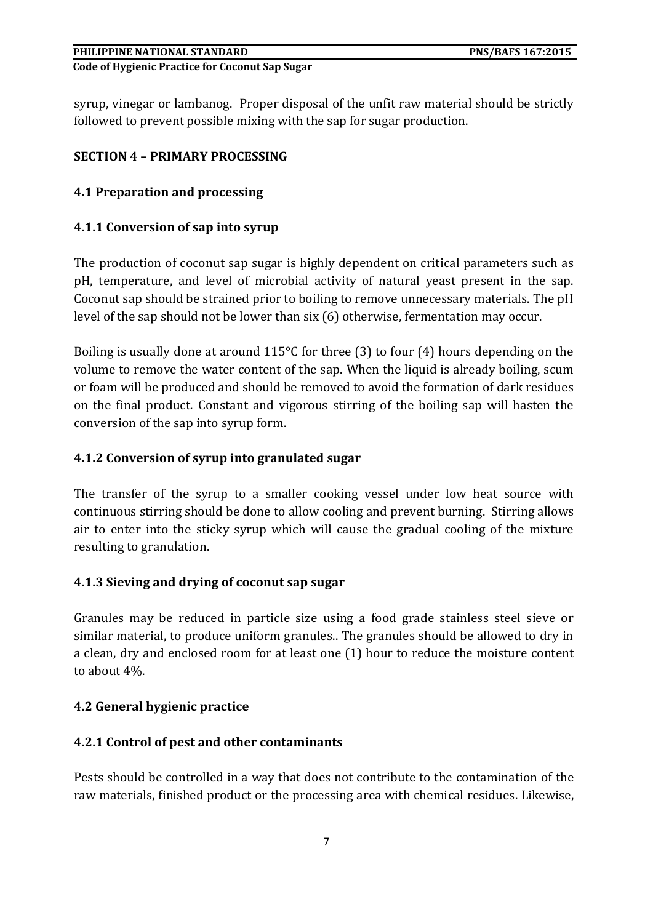syrup, vinegar or lambanog. Proper disposal of the unfit raw material should be strictly followed to prevent possible mixing with the sap for sugar production.

# **SECTION 4 – PRIMARY PROCESSING**

## **4.1 Preparation and processing**

## **4.1.1 Conversion of sap into syrup**

The production of coconut sap sugar is highly dependent on critical parameters such as pH, temperature, and level of microbial activity of natural yeast present in the sap. Coconut sap should be strained prior to boiling to remove unnecessary materials. The pH level of the sap should not be lower than six (6) otherwise, fermentation may occur.

Boiling is usually done at around 115°C for three (3) to four (4) hours depending on the volume to remove the water content of the sap. When the liquid is already boiling, scum or foam will be produced and should be removed to avoid the formation of dark residues on the final product. Constant and vigorous stirring of the boiling sap will hasten the conversion of the sap into syrup form.

## **4.1.2 Conversion of syrup into granulated sugar**

The transfer of the syrup to a smaller cooking vessel under low heat source with continuous stirring should be done to allow cooling and prevent burning. Stirring allows air to enter into the sticky syrup which will cause the gradual cooling of the mixture resulting to granulation.

#### **4.1.3 Sieving and drying of coconut sap sugar**

Granules may be reduced in particle size using a food grade stainless steel sieve or similar material, to produce uniform granules.. The granules should be allowed to dry in a clean, dry and enclosed room for at least one (1) hour to reduce the moisture content to about 4%.

#### **4.2 General hygienic practice**

#### **4.2.1 Control of pest and other contaminants**

Pests should be controlled in a way that does not contribute to the contamination of the raw materials, finished product or the processing area with chemical residues. Likewise,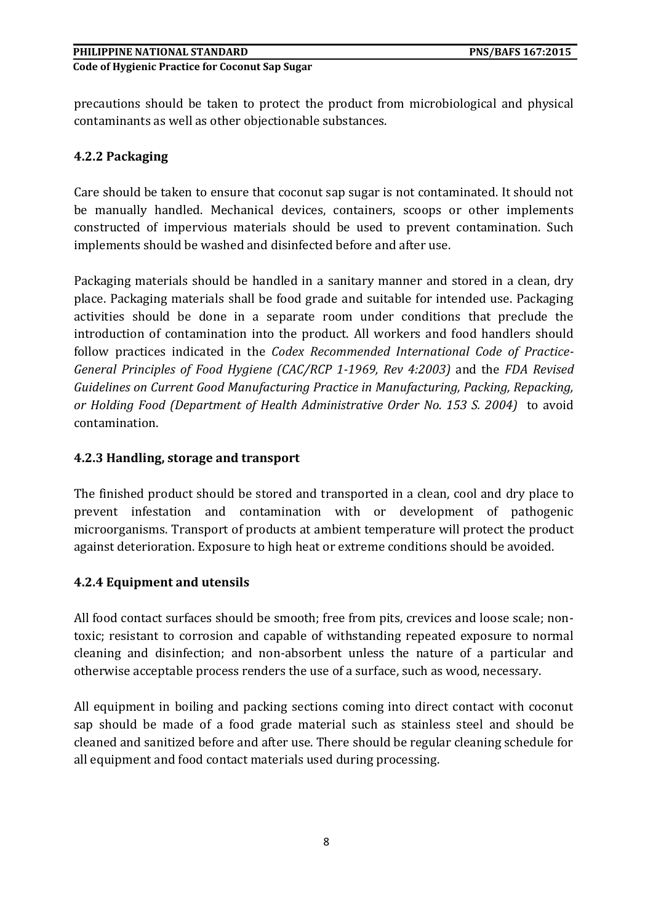precautions should be taken to protect the product from microbiological and physical contaminants as well as other objectionable substances.

# **4.2.2 Packaging**

Care should be taken to ensure that coconut sap sugar is not contaminated. It should not be manually handled. Mechanical devices, containers, scoops or other implements constructed of impervious materials should be used to prevent contamination. Such implements should be washed and disinfected before and after use.

Packaging materials should be handled in a sanitary manner and stored in a clean, dry place. Packaging materials shall be food grade and suitable for intended use. Packaging activities should be done in a separate room under conditions that preclude the introduction of contamination into the product. All workers and food handlers should follow practices indicated in the *Codex Recommended International Code of Practice-General Principles of Food Hygiene (CAC/RCP 1-1969, Rev 4:2003)* and the *FDA Revised Guidelines on Current Good Manufacturing Practice in Manufacturing, Packing, Repacking, or Holding Food (Department of Health Administrative Order No. 153 S. 2004)* to avoid contamination.

# **4.2.3 Handling, storage and transport**

The finished product should be stored and transported in a clean, cool and dry place to prevent infestation and contamination with or development of pathogenic microorganisms. Transport of products at ambient temperature will protect the product against deterioration. Exposure to high heat or extreme conditions should be avoided.

# **4.2.4 Equipment and utensils**

All food contact surfaces should be smooth; free from pits, crevices and loose scale; nontoxic; resistant to corrosion and capable of withstanding repeated exposure to normal cleaning and disinfection; and non-absorbent unless the nature of a particular and otherwise acceptable process renders the use of a surface, such as wood, necessary.

All equipment in boiling and packing sections coming into direct contact with coconut sap should be made of a food grade material such as stainless steel and should be cleaned and sanitized before and after use. There should be regular cleaning schedule for all equipment and food contact materials used during processing.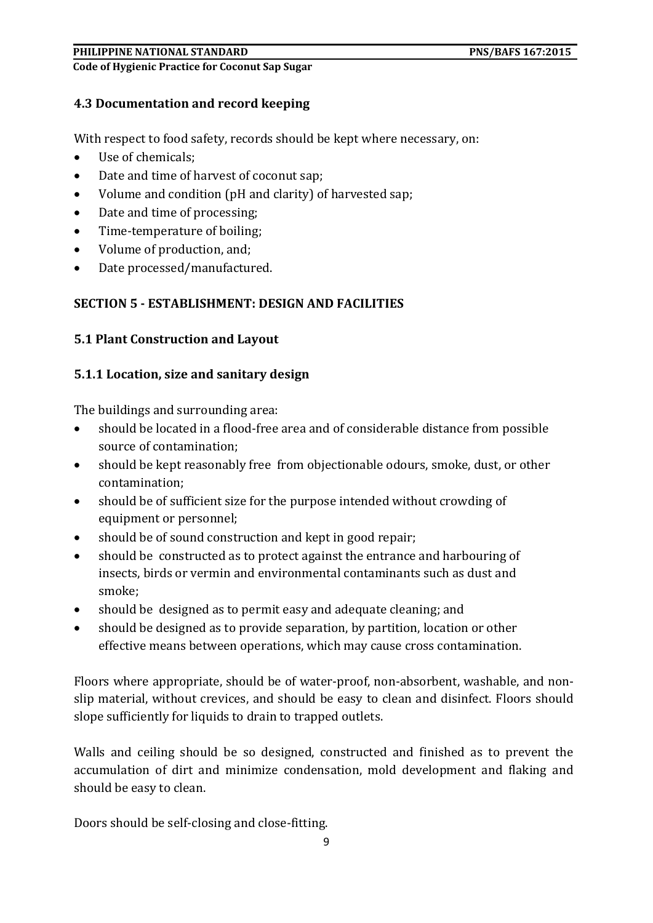#### **PHILIPPINE NATIONAL STANDARD PNS/BAFS 167:2015**

**Code of Hygienic Practice for Coconut Sap Sugar** 

#### **4.3 Documentation and record keeping**

With respect to food safety, records should be kept where necessary, on:

- Use of chemicals;
- Date and time of harvest of coconut sap;
- Volume and condition (pH and clarity) of harvested sap;
- Date and time of processing;
- Time-temperature of boiling;
- Volume of production, and;
- Date processed/manufactured.

## **SECTION 5 - ESTABLISHMENT: DESIGN AND FACILITIES**

## **5.1 Plant Construction and Layout**

#### **5.1.1 Location, size and sanitary design**

The buildings and surrounding area:

- should be located in a flood-free area and of considerable distance from possible source of contamination;
- should be kept reasonably free from objectionable odours, smoke, dust, or other contamination;
- should be of sufficient size for the purpose intended without crowding of equipment or personnel;
- should be of sound construction and kept in good repair;
- should be constructed as to protect against the entrance and harbouring of insects, birds or vermin and environmental contaminants such as dust and smoke;
- should be designed as to permit easy and adequate cleaning; and
- should be designed as to provide separation, by partition, location or other effective means between operations, which may cause cross contamination.

Floors where appropriate, should be of water-proof, non-absorbent, washable, and nonslip material, without crevices, and should be easy to clean and disinfect. Floors should slope sufficiently for liquids to drain to trapped outlets.

Walls and ceiling should be so designed, constructed and finished as to prevent the accumulation of dirt and minimize condensation, mold development and flaking and should be easy to clean.

Doors should be self-closing and close-fitting.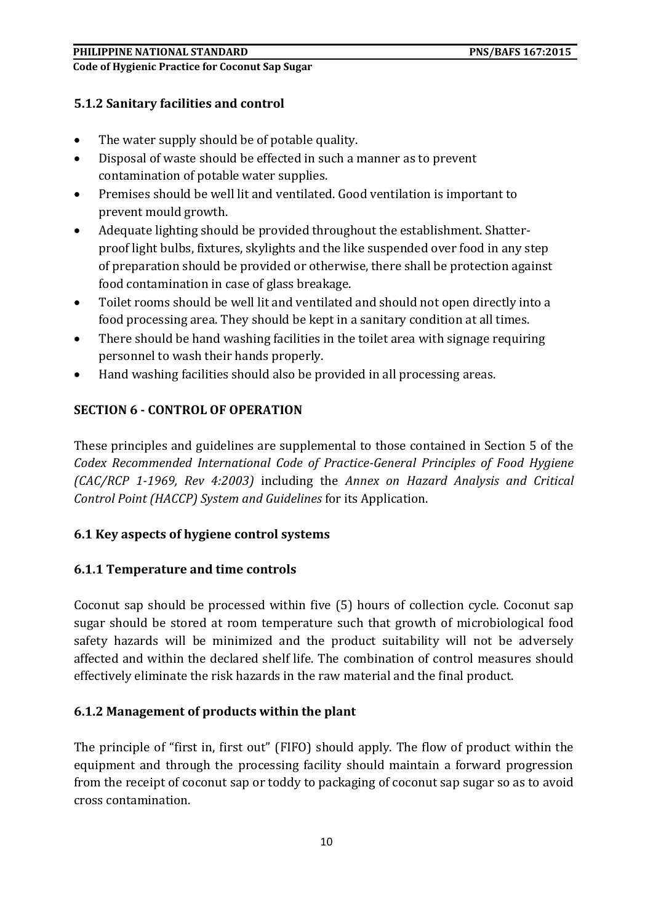# **5.1.2 Sanitary facilities and control**

- The water supply should be of potable quality.
- Disposal of waste should be effected in such a manner as to prevent contamination of potable water supplies.
- Premises should be well lit and ventilated. Good ventilation is important to prevent mould growth.
- Adequate lighting should be provided throughout the establishment. Shatterproof light bulbs, fixtures, skylights and the like suspended over food in any step of preparation should be provided or otherwise, there shall be protection against food contamination in case of glass breakage.
- Toilet rooms should be well lit and ventilated and should not open directly into a food processing area. They should be kept in a sanitary condition at all times.
- There should be hand washing facilities in the toilet area with signage requiring personnel to wash their hands properly.
- Hand washing facilities should also be provided in all processing areas.

# **SECTION 6 - CONTROL OF OPERATION**

These principles and guidelines are supplemental to those contained in Section 5 of the *Codex Recommended International Code of Practice-General Principles of Food Hygiene (CAC/RCP 1-1969, Rev 4:2003)* including the *Annex on Hazard Analysis and Critical Control Point (HACCP) System and Guidelines* for its Application.

# **6.1 Key aspects of hygiene control systems**

# **6.1.1 Temperature and time controls**

Coconut sap should be processed within five (5) hours of collection cycle. Coconut sap sugar should be stored at room temperature such that growth of microbiological food safety hazards will be minimized and the product suitability will not be adversely affected and within the declared shelf life. The combination of control measures should effectively eliminate the risk hazards in the raw material and the final product.

# **6.1.2 Management of products within the plant**

The principle of "first in, first out" (FIFO) should apply. The flow of product within the equipment and through the processing facility should maintain a forward progression from the receipt of coconut sap or toddy to packaging of coconut sap sugar so as to avoid cross contamination.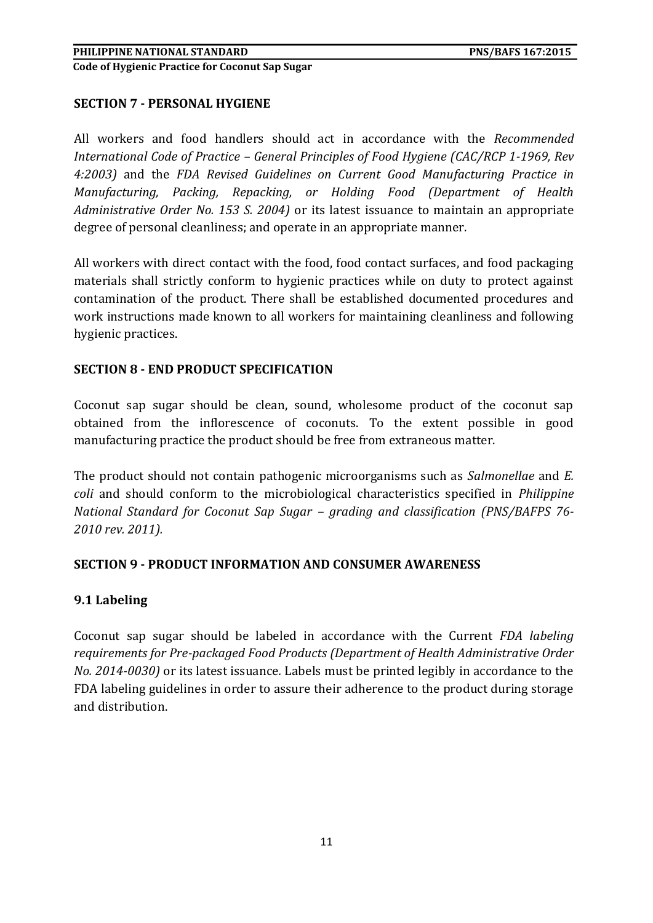## **SECTION 7 - PERSONAL HYGIENE**

All workers and food handlers should act in accordance with the *Recommended International Code of Practice – General Principles of Food Hygiene (CAC/RCP 1-1969, Rev 4:2003)* and the *FDA Revised Guidelines on Current Good Manufacturing Practice in Manufacturing, Packing, Repacking, or Holding Food (Department of Health Administrative Order No. 153 S. 2004)* or its latest issuance to maintain an appropriate degree of personal cleanliness; and operate in an appropriate manner.

All workers with direct contact with the food, food contact surfaces, and food packaging materials shall strictly conform to hygienic practices while on duty to protect against contamination of the product. There shall be established documented procedures and work instructions made known to all workers for maintaining cleanliness and following hygienic practices.

#### **SECTION 8 - END PRODUCT SPECIFICATION**

Coconut sap sugar should be clean, sound, wholesome product of the coconut sap obtained from the inflorescence of coconuts. To the extent possible in good manufacturing practice the product should be free from extraneous matter.

The product should not contain pathogenic microorganisms such as *Salmonellae* and *E. coli* and should conform to the microbiological characteristics specified in *Philippine National Standard for Coconut Sap Sugar – grading and classification (PNS/BAFPS 76- 2010 rev. 2011).*

#### **SECTION 9 - PRODUCT INFORMATION AND CONSUMER AWARENESS**

# **9.1 Labeling**

Coconut sap sugar should be labeled in accordance with the Current *FDA labeling requirements for Pre-packaged Food Products (Department of Health Administrative Order No. 2014-0030)* or its latest issuance*.* Labels must be printed legibly in accordance to the FDA labeling guidelines in order to assure their adherence to the product during storage and distribution.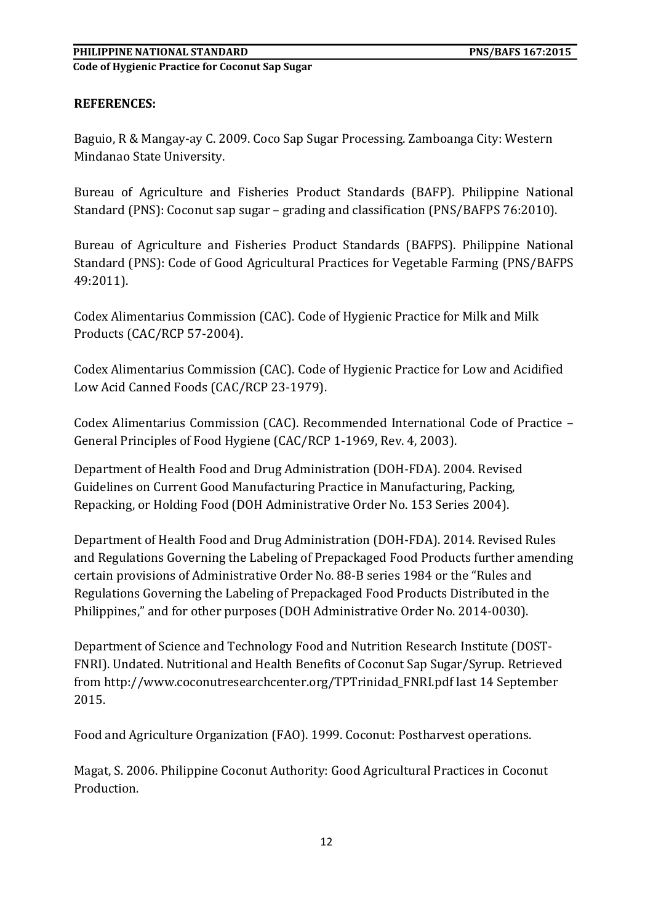# **REFERENCES:**

Baguio, R & Mangay-ay C. 2009. Coco Sap Sugar Processing. Zamboanga City: Western Mindanao State University.

Bureau of Agriculture and Fisheries Product Standards (BAFP). Philippine National Standard (PNS): Coconut sap sugar – grading and classification (PNS/BAFPS 76:2010).

Bureau of Agriculture and Fisheries Product Standards (BAFPS). Philippine National Standard (PNS): Code of Good Agricultural Practices for Vegetable Farming (PNS/BAFPS 49:2011).

Codex Alimentarius Commission (CAC). Code of Hygienic Practice for Milk and Milk Products (CAC/RCP 57-2004).

Codex Alimentarius Commission (CAC). Code of Hygienic Practice for Low and Acidified Low Acid Canned Foods (CAC/RCP 23-1979).

Codex Alimentarius Commission (CAC). Recommended International Code of Practice – General Principles of Food Hygiene (CAC/RCP 1-1969, Rev. 4, 2003).

Department of Health Food and Drug Administration (DOH-FDA). 2004. Revised Guidelines on Current Good Manufacturing Practice in Manufacturing, Packing, Repacking, or Holding Food (DOH Administrative Order No. 153 Series 2004).

Department of Health Food and Drug Administration (DOH-FDA). 2014. Revised Rules and Regulations Governing the Labeling of Prepackaged Food Products further amending certain provisions of Administrative Order No. 88-B series 1984 or the "Rules and Regulations Governing the Labeling of Prepackaged Food Products Distributed in the Philippines," and for other purposes (DOH Administrative Order No. 2014-0030).

Department of Science and Technology Food and Nutrition Research Institute (DOST-FNRI). Undated. Nutritional and Health Benefits of Coconut Sap Sugar/Syrup. Retrieved from [http://www.coconutresearchcenter.org/TPTrinidad\\_FNRI.pdf](http://www.coconutresearchcenter.org/TPTrinidad_FNRI.pdf) last 14 September 2015.

Food and Agriculture Organization (FAO). 1999. Coconut: Postharvest operations.

Magat, S. 2006. Philippine Coconut Authority: Good Agricultural Practices in Coconut Production.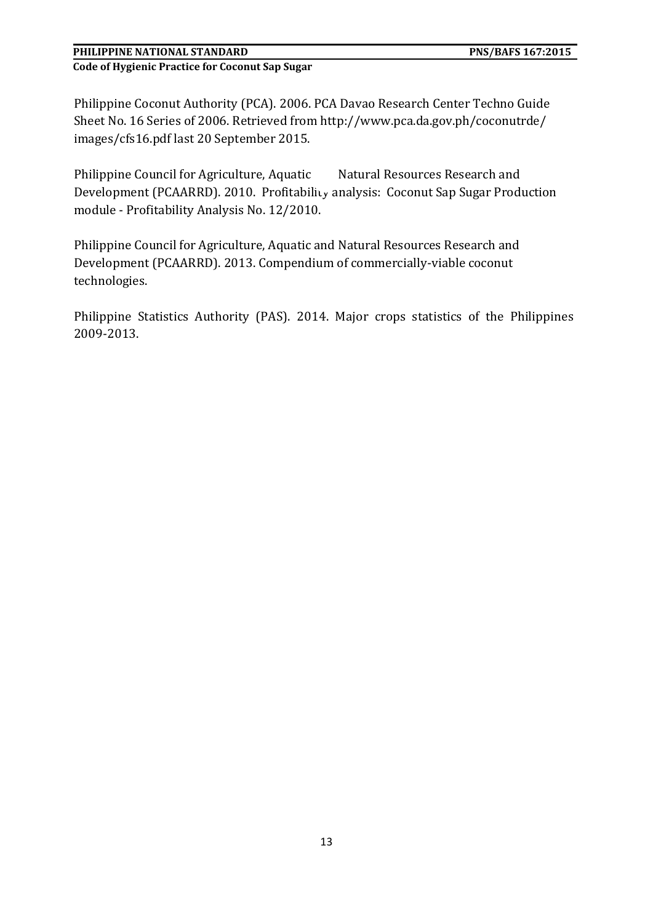# **PHILIPPINE NATIONAL STANDARD PNS/BAFS 167:2015**

**Code of Hygienic Practice for Coconut Sap Sugar** 

Philippine Coconut Authority (PCA). 2006. PCA Davao Research Center Techno Guide Sheet No. 16 Series of 2006. Retrieved from [http://www.pca.da.gov.ph/coconutrde/](http://www.pca.da.gov.ph/coconutrde/%20images/cfs16.pdf)  [images/cfs16.pdf](http://www.pca.da.gov.ph/coconutrde/%20images/cfs16.pdf) last 20 September 2015.

Philippine Council for Agriculture, Aquatic Matural Resources Research and Development (PCAARRD). 2010. Profitability analysis: Coconut Sap Sugar Production module - Profitability Analysis No. 12/2010.

Philippine Council for Agriculture, Aquatic and Natural Resources Research and Development (PCAARRD). 2013. Compendium of commercially-viable coconut technologies.

Philippine Statistics Authority (PAS). 2014. Major crops statistics of the Philippines 2009-2013.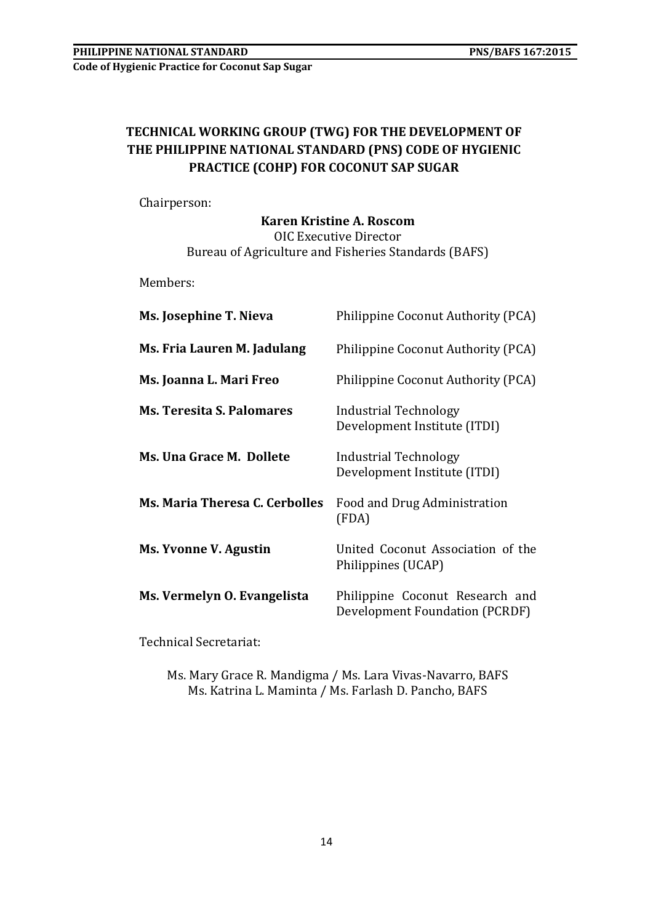# **TECHNICAL WORKING GROUP (TWG) FOR THE DEVELOPMENT OF THE PHILIPPINE NATIONAL STANDARD (PNS) CODE OF HYGIENIC PRACTICE (COHP) FOR COCONUT SAP SUGAR**

Chairperson:

## **Karen Kristine A. Roscom** OIC Executive Director Bureau of Agriculture and Fisheries Standards (BAFS)

Members:

| Ms. Josephine T. Nieva                | Philippine Coconut Authority (PCA)                                |
|---------------------------------------|-------------------------------------------------------------------|
| Ms. Fria Lauren M. Jadulang           | Philippine Coconut Authority (PCA)                                |
| Ms. Joanna L. Mari Freo               | Philippine Coconut Authority (PCA)                                |
| <b>Ms. Teresita S. Palomares</b>      | Industrial Technology<br>Development Institute (ITDI)             |
| Ms. Una Grace M. Dollete              | Industrial Technology<br>Development Institute (ITDI)             |
| <b>Ms. Maria Theresa C. Cerbolles</b> | Food and Drug Administration<br>(FDA)                             |
| Ms. Yvonne V. Agustin                 | United Coconut Association of the<br>Philippines (UCAP)           |
| Ms. Vermelyn O. Evangelista           | Philippine Coconut Research and<br>Development Foundation (PCRDF) |

Technical Secretariat:

Ms. Mary Grace R. Mandigma / Ms. Lara Vivas-Navarro, BAFS Ms. Katrina L. Maminta / Ms. Farlash D. Pancho, BAFS